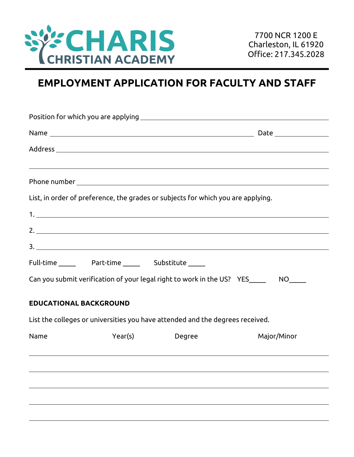

# **EMPLOYMENT APPLICATION FOR FACULTY AND STAFF**

|                               |         | List, in order of preference, the grades or subjects for which you are applying. |             |
|-------------------------------|---------|----------------------------------------------------------------------------------|-------------|
|                               |         |                                                                                  |             |
|                               |         |                                                                                  |             |
|                               |         |                                                                                  |             |
|                               |         |                                                                                  |             |
|                               |         | Can you submit verification of your legal right to work in the US? YES_____      |             |
| <b>EDUCATIONAL BACKGROUND</b> |         |                                                                                  |             |
|                               |         | List the colleges or universities you have attended and the degrees received.    |             |
| Name                          | Year(s) | Degree                                                                           | Major/Minor |
|                               |         |                                                                                  |             |
|                               |         |                                                                                  |             |
|                               |         |                                                                                  |             |
|                               |         |                                                                                  |             |
|                               |         |                                                                                  |             |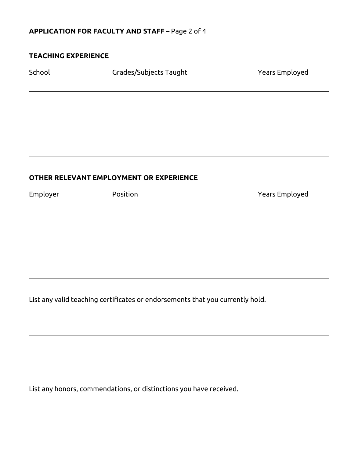## **APPLICATION FOR FACULTY AND STAFF** – Page 2 of 4

#### **TEACHING EXPERIENCE**

| School   | Grades/Subjects Taught                  | Years Employed |
|----------|-----------------------------------------|----------------|
|          |                                         |                |
|          |                                         |                |
|          |                                         |                |
|          |                                         |                |
|          | OTHER RELEVANT EMPLOYMENT OR EXPERIENCE |                |
| Employer | Position                                | Years Employed |
|          |                                         |                |
|          |                                         |                |
|          |                                         |                |
|          |                                         |                |
|          |                                         |                |

List any valid teaching certificates or endorsements that you currently hold.

List any honors, commendations, or distinctions you have received.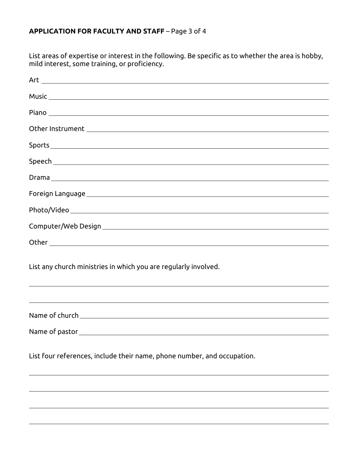## **APPLICATION FOR FACULTY AND STAFF** – Page 3 of 4

List areas of expertise or interest in the following. Be specific as to whether the area is hobby, mild interest, some training, or proficiency.

| $\mathsf{Art} \_\_\_\_\_\_\_\_\$                                                                                                                                                       |
|----------------------------------------------------------------------------------------------------------------------------------------------------------------------------------------|
|                                                                                                                                                                                        |
|                                                                                                                                                                                        |
|                                                                                                                                                                                        |
|                                                                                                                                                                                        |
|                                                                                                                                                                                        |
|                                                                                                                                                                                        |
|                                                                                                                                                                                        |
|                                                                                                                                                                                        |
|                                                                                                                                                                                        |
|                                                                                                                                                                                        |
| List any church ministries in which you are regularly involved.                                                                                                                        |
| <u> 1989 - Andrea Barbara, Amerikaansk politiker (d. 1989)</u><br><u> 1989 - Andrea Santa Andrea Andrea Andrea Andrea Andrea Andrea Andrea Andrea Andrea Andrea Andrea Andrea Andr</u> |
|                                                                                                                                                                                        |
|                                                                                                                                                                                        |
| List four references, include their name, phone number, and occupation.                                                                                                                |
|                                                                                                                                                                                        |